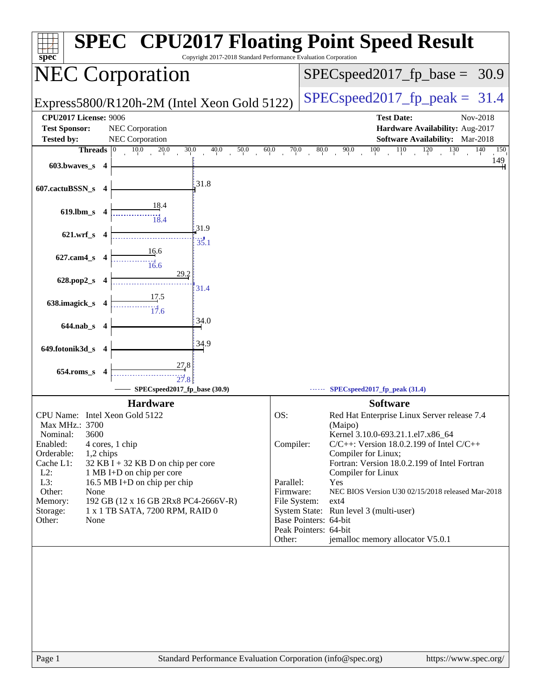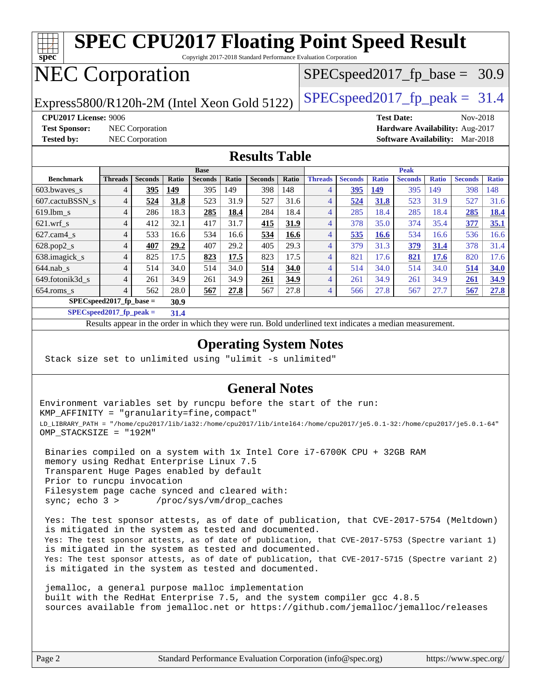

**[SPECspeed2017\\_fp\\_peak =](http://www.spec.org/auto/cpu2017/Docs/result-fields.html#SPECspeed2017fppeak) 31.4**

Results appear in the [order in which they were run.](http://www.spec.org/auto/cpu2017/Docs/result-fields.html#RunOrder) Bold underlined text [indicates a median measurement](http://www.spec.org/auto/cpu2017/Docs/result-fields.html#Median).

#### **[Operating System Notes](http://www.spec.org/auto/cpu2017/Docs/result-fields.html#OperatingSystemNotes)**

Stack size set to unlimited using "ulimit -s unlimited"

#### **[General Notes](http://www.spec.org/auto/cpu2017/Docs/result-fields.html#GeneralNotes)**

Environment variables set by runcpu before the start of the run: KMP\_AFFINITY = "granularity=fine,compact" LD\_LIBRARY\_PATH = "/home/cpu2017/lib/ia32:/home/cpu2017/lib/intel64:/home/cpu2017/je5.0.1-32:/home/cpu2017/je5.0.1-64" OMP\_STACKSIZE = "192M"

 Binaries compiled on a system with 1x Intel Core i7-6700K CPU + 32GB RAM memory using Redhat Enterprise Linux 7.5 Transparent Huge Pages enabled by default Prior to runcpu invocation Filesystem page cache synced and cleared with: sync; echo 3 > /proc/sys/vm/drop\_caches

 Yes: The test sponsor attests, as of date of publication, that CVE-2017-5754 (Meltdown) is mitigated in the system as tested and documented. Yes: The test sponsor attests, as of date of publication, that CVE-2017-5753 (Spectre variant 1) is mitigated in the system as tested and documented. Yes: The test sponsor attests, as of date of publication, that CVE-2017-5715 (Spectre variant 2) is mitigated in the system as tested and documented.

 jemalloc, a general purpose malloc implementation built with the RedHat Enterprise 7.5, and the system compiler gcc 4.8.5 sources available from jemalloc.net or <https://github.com/jemalloc/jemalloc/releases>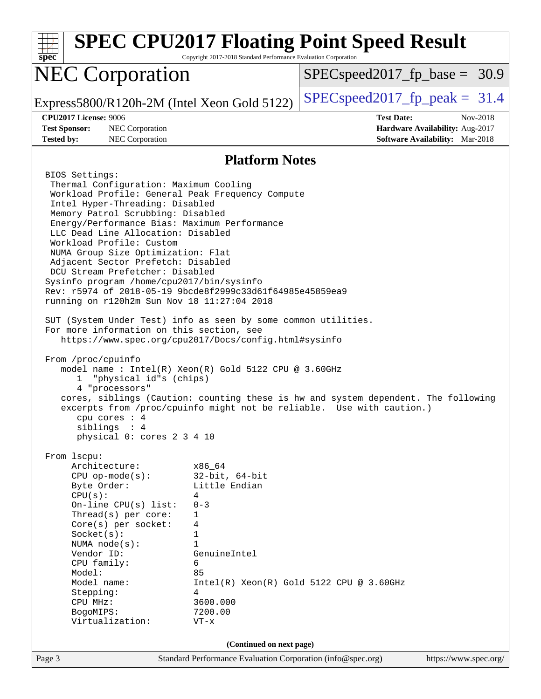| $spec^*$                                                                                                                                                                                                                                                                                                                                                                                                                                                                                                                                                                                                                                                                                                                                                                                                                                                                                                                                                | Copyright 2017-2018 Standard Performance Evaluation Corporation                                                                                                   | <b>SPEC CPU2017 Floating Point Speed Result</b>                                                                                                             |
|---------------------------------------------------------------------------------------------------------------------------------------------------------------------------------------------------------------------------------------------------------------------------------------------------------------------------------------------------------------------------------------------------------------------------------------------------------------------------------------------------------------------------------------------------------------------------------------------------------------------------------------------------------------------------------------------------------------------------------------------------------------------------------------------------------------------------------------------------------------------------------------------------------------------------------------------------------|-------------------------------------------------------------------------------------------------------------------------------------------------------------------|-------------------------------------------------------------------------------------------------------------------------------------------------------------|
| <b>NEC Corporation</b>                                                                                                                                                                                                                                                                                                                                                                                                                                                                                                                                                                                                                                                                                                                                                                                                                                                                                                                                  |                                                                                                                                                                   | $SPEC speed2017_f p\_base = 30.9$                                                                                                                           |
| Express5800/R120h-2M (Intel Xeon Gold 5122)                                                                                                                                                                                                                                                                                                                                                                                                                                                                                                                                                                                                                                                                                                                                                                                                                                                                                                             |                                                                                                                                                                   | $SPEC speed2017fr peak = 31.4$                                                                                                                              |
| <b>CPU2017 License: 9006</b><br><b>Test Sponsor:</b><br>NEC Corporation<br>NEC Corporation<br><b>Tested by:</b>                                                                                                                                                                                                                                                                                                                                                                                                                                                                                                                                                                                                                                                                                                                                                                                                                                         |                                                                                                                                                                   | <b>Test Date:</b><br>Nov-2018<br>Hardware Availability: Aug-2017<br><b>Software Availability:</b> Mar-2018                                                  |
|                                                                                                                                                                                                                                                                                                                                                                                                                                                                                                                                                                                                                                                                                                                                                                                                                                                                                                                                                         | <b>Platform Notes</b>                                                                                                                                             |                                                                                                                                                             |
| BIOS Settings:<br>Thermal Configuration: Maximum Cooling<br>Workload Profile: General Peak Frequency Compute<br>Intel Hyper-Threading: Disabled<br>Memory Patrol Scrubbing: Disabled<br>Energy/Performance Bias: Maximum Performance<br>LLC Dead Line Allocation: Disabled<br>Workload Profile: Custom<br>NUMA Group Size Optimization: Flat<br>Adjacent Sector Prefetch: Disabled<br>DCU Stream Prefetcher: Disabled<br>Sysinfo program /home/cpu2017/bin/sysinfo<br>Rev: r5974 of 2018-05-19 9bcde8f2999c33d61f64985e45859ea9<br>running on r120h2m Sun Nov 18 11:27:04 2018<br>SUT (System Under Test) info as seen by some common utilities.<br>For more information on this section, see<br>https://www.spec.org/cpu2017/Docs/config.html#sysinfo<br>From /proc/cpuinfo<br>model name : Intel(R) Xeon(R) Gold 5122 CPU @ 3.60GHz<br>"physical id"s (chips)<br>1<br>4 "processors"<br>cpu cores $: 4$<br>siblings : 4<br>physical 0: cores 2 3 4 10 |                                                                                                                                                                   | cores, siblings (Caution: counting these is hw and system dependent. The following<br>excerpts from /proc/cpuinfo might not be reliable. Use with caution.) |
| From lscpu:<br>Architecture:<br>$CPU$ op-mode( $s$ ):<br>Byte Order:<br>CPU(s):<br>On-line $CPU(s)$ list:<br>Thread(s) per core:<br>Core(s) per socket:<br>Socket(s):<br>NUMA $node(s)$ :<br>Vendor ID:<br>CPU family:<br>Model:<br>Model name:<br>Stepping:<br>CPU MHz:<br>BogoMIPS:<br>Virtualization:                                                                                                                                                                                                                                                                                                                                                                                                                                                                                                                                                                                                                                                | x86 64<br>$32$ -bit, $64$ -bit<br>Little Endian<br>4<br>$0 - 3$<br>1<br>4<br>1<br>$\mathbf{1}$<br>GenuineIntel<br>6<br>85<br>4<br>3600.000<br>7200.00<br>$VT - x$ | $Intel(R) Xeon(R) Gold 5122 CPU @ 3.60GHz$                                                                                                                  |
|                                                                                                                                                                                                                                                                                                                                                                                                                                                                                                                                                                                                                                                                                                                                                                                                                                                                                                                                                         | (Continued on next page)                                                                                                                                          |                                                                                                                                                             |
| Page 3                                                                                                                                                                                                                                                                                                                                                                                                                                                                                                                                                                                                                                                                                                                                                                                                                                                                                                                                                  | Standard Performance Evaluation Corporation (info@spec.org)                                                                                                       | https://www.spec.org/                                                                                                                                       |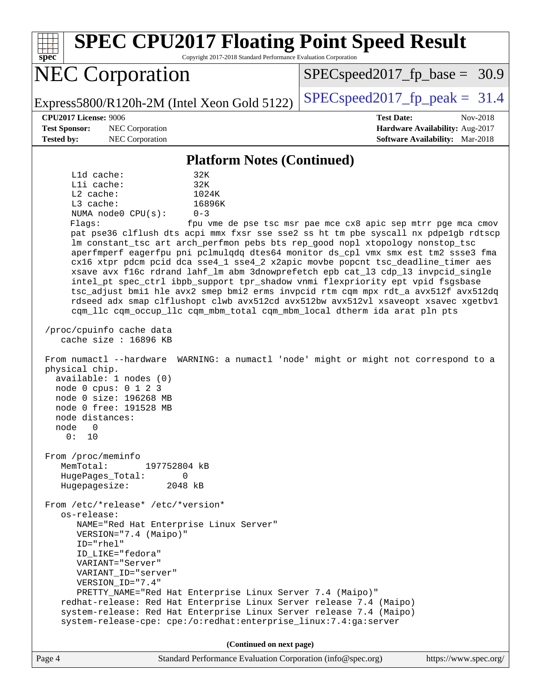| <b>SPEC CPU2017 Floating Point Speed Result</b><br>Copyright 2017-2018 Standard Performance Evaluation Corporation<br>spec <sup>®</sup>                                                                                                                                                                                                                                                                                                                                                                                                                                                                                                                                                                                                                                                                                                                                                                                                                                                                                                                                                                                                                                                                                                                                                                                                                                                                                                                                                                                                                                                                                                                                                                                                                                                                                                               |                                                                                                     |
|-------------------------------------------------------------------------------------------------------------------------------------------------------------------------------------------------------------------------------------------------------------------------------------------------------------------------------------------------------------------------------------------------------------------------------------------------------------------------------------------------------------------------------------------------------------------------------------------------------------------------------------------------------------------------------------------------------------------------------------------------------------------------------------------------------------------------------------------------------------------------------------------------------------------------------------------------------------------------------------------------------------------------------------------------------------------------------------------------------------------------------------------------------------------------------------------------------------------------------------------------------------------------------------------------------------------------------------------------------------------------------------------------------------------------------------------------------------------------------------------------------------------------------------------------------------------------------------------------------------------------------------------------------------------------------------------------------------------------------------------------------------------------------------------------------------------------------------------------------|-----------------------------------------------------------------------------------------------------|
| <b>NEC Corporation</b>                                                                                                                                                                                                                                                                                                                                                                                                                                                                                                                                                                                                                                                                                                                                                                                                                                                                                                                                                                                                                                                                                                                                                                                                                                                                                                                                                                                                                                                                                                                                                                                                                                                                                                                                                                                                                                | $SPEC speed2017_f p\_base = 30.9$                                                                   |
| Express5800/R120h-2M (Intel Xeon Gold 5122)                                                                                                                                                                                                                                                                                                                                                                                                                                                                                                                                                                                                                                                                                                                                                                                                                                                                                                                                                                                                                                                                                                                                                                                                                                                                                                                                                                                                                                                                                                                                                                                                                                                                                                                                                                                                           | $SPEC speed2017fp peak = 31.4$                                                                      |
| <b>CPU2017 License: 9006</b><br><b>Test Sponsor:</b><br>NEC Corporation<br>NEC Corporation<br><b>Tested by:</b>                                                                                                                                                                                                                                                                                                                                                                                                                                                                                                                                                                                                                                                                                                                                                                                                                                                                                                                                                                                                                                                                                                                                                                                                                                                                                                                                                                                                                                                                                                                                                                                                                                                                                                                                       | <b>Test Date:</b><br>Nov-2018<br>Hardware Availability: Aug-2017<br>Software Availability: Mar-2018 |
| <b>Platform Notes (Continued)</b>                                                                                                                                                                                                                                                                                                                                                                                                                                                                                                                                                                                                                                                                                                                                                                                                                                                                                                                                                                                                                                                                                                                                                                                                                                                                                                                                                                                                                                                                                                                                                                                                                                                                                                                                                                                                                     |                                                                                                     |
| $L1d$ cache:<br>32K<br>$L1i$ cache:<br>32K<br>L2 cache:<br>1024K<br>$L3$ cache:<br>16896K<br>NUMA node0 CPU(s):<br>$0 - 3$<br>Flags:<br>pat pse36 clflush dts acpi mmx fxsr sse sse2 ss ht tm pbe syscall nx pdpelgb rdtscp<br>lm constant_tsc art arch_perfmon pebs bts rep_good nopl xtopology nonstop_tsc<br>aperfmperf eagerfpu pni pclmulqdq dtes64 monitor ds_cpl vmx smx est tm2 ssse3 fma<br>cx16 xtpr pdcm pcid dca sse4_1 sse4_2 x2apic movbe popcnt tsc_deadline_timer aes<br>xsave avx f16c rdrand lahf_lm abm 3dnowprefetch epb cat_13 cdp_13 invpcid_single<br>intel_pt spec_ctrl ibpb_support tpr_shadow vnmi flexpriority ept vpid fsgsbase<br>tsc_adjust bmil hle avx2 smep bmi2 erms invpcid rtm cqm mpx rdt_a avx512f avx512dq<br>rdseed adx smap clflushopt clwb avx512cd avx512bw avx512vl xsaveopt xsavec xgetbvl<br>cqm_llc cqm_occup_llc cqm_mbm_total cqm_mbm_local dtherm ida arat pln pts<br>/proc/cpuinfo cache data<br>cache size : 16896 KB<br>From numactl --hardware WARNING: a numactl 'node' might or might not correspond to a<br>physical chip.<br>available: 1 nodes (0)<br>node 0 cpus: 0 1 2 3<br>node 0 size: 196268 MB<br>node 0 free: 191528 MB<br>node distances:<br>node<br>O<br>0 :<br>10<br>From /proc/meminfo<br>MemTotal:<br>197752804 kB<br>HugePages_Total:<br>0<br>Hugepagesize:<br>2048 kB<br>From /etc/*release* /etc/*version*<br>os-release:<br>NAME="Red Hat Enterprise Linux Server"<br>VERSION="7.4 (Maipo)"<br>ID="rhel"<br>ID_LIKE="fedora"<br>VARIANT="Server"<br>VARIANT_ID="server"<br>VERSION_ID="7.4"<br>PRETTY_NAME="Red Hat Enterprise Linux Server 7.4 (Maipo)"<br>redhat-release: Red Hat Enterprise Linux Server release 7.4 (Maipo)<br>system-release: Red Hat Enterprise Linux Server release 7.4 (Maipo)<br>system-release-cpe: cpe:/o:redhat:enterprise_linux:7.4:ga:server | fpu vme de pse tsc msr pae mce cx8 apic sep mtrr pge mca cmov                                       |
| (Continued on next page)                                                                                                                                                                                                                                                                                                                                                                                                                                                                                                                                                                                                                                                                                                                                                                                                                                                                                                                                                                                                                                                                                                                                                                                                                                                                                                                                                                                                                                                                                                                                                                                                                                                                                                                                                                                                                              |                                                                                                     |
| Page 4<br>Standard Performance Evaluation Corporation (info@spec.org)                                                                                                                                                                                                                                                                                                                                                                                                                                                                                                                                                                                                                                                                                                                                                                                                                                                                                                                                                                                                                                                                                                                                                                                                                                                                                                                                                                                                                                                                                                                                                                                                                                                                                                                                                                                 | https://www.spec.org/                                                                               |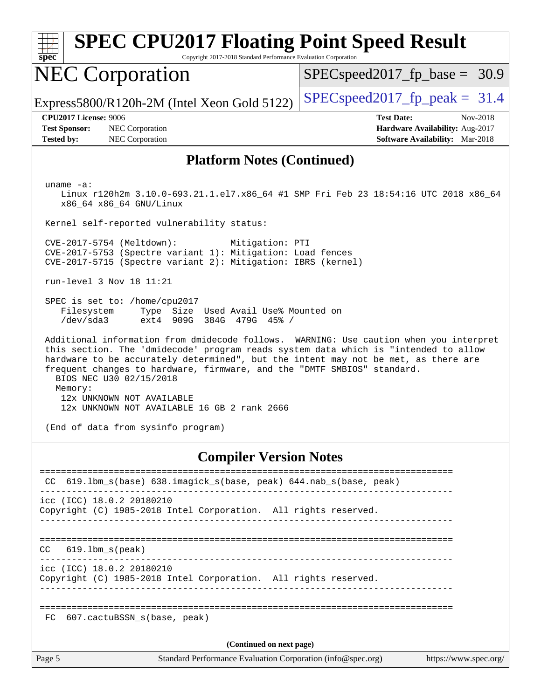| $spec^*$                                                                  | <b>SPEC CPU2017 Floating Point Speed Result</b><br>Copyright 2017-2018 Standard Performance Evaluation Corporation                                                                                                                                                                                                                                                                                                                                                                                                                                                                                                                                                                                                                                                                         |                                                                                                                                                                               |
|---------------------------------------------------------------------------|--------------------------------------------------------------------------------------------------------------------------------------------------------------------------------------------------------------------------------------------------------------------------------------------------------------------------------------------------------------------------------------------------------------------------------------------------------------------------------------------------------------------------------------------------------------------------------------------------------------------------------------------------------------------------------------------------------------------------------------------------------------------------------------------|-------------------------------------------------------------------------------------------------------------------------------------------------------------------------------|
|                                                                           | <b>NEC Corporation</b>                                                                                                                                                                                                                                                                                                                                                                                                                                                                                                                                                                                                                                                                                                                                                                     | $SPEC speed2017_f p\_base = 30.9$                                                                                                                                             |
|                                                                           | Express5800/R120h-2M (Intel Xeon Gold 5122)                                                                                                                                                                                                                                                                                                                                                                                                                                                                                                                                                                                                                                                                                                                                                | $SPEC speed2017_fp_peak = 31.4$                                                                                                                                               |
| <b>CPU2017 License: 9006</b><br><b>Test Sponsor:</b><br><b>Tested by:</b> | NEC Corporation<br>NEC Corporation                                                                                                                                                                                                                                                                                                                                                                                                                                                                                                                                                                                                                                                                                                                                                         | <b>Test Date:</b><br>Nov-2018<br>Hardware Availability: Aug-2017<br><b>Software Availability:</b> Mar-2018                                                                    |
|                                                                           | <b>Platform Notes (Continued)</b>                                                                                                                                                                                                                                                                                                                                                                                                                                                                                                                                                                                                                                                                                                                                                          |                                                                                                                                                                               |
| uname $-a$ :<br>Filesystem<br>/dev/sda3<br>Memory:                        | x86_64 x86_64 GNU/Linux<br>Kernel self-reported vulnerability status:<br>CVE-2017-5754 (Meltdown):<br>Mitigation: PTI<br>CVE-2017-5753 (Spectre variant 1): Mitigation: Load fences<br>CVE-2017-5715 (Spectre variant 2): Mitigation: IBRS (kernel)<br>run-level 3 Nov 18 11:21<br>SPEC is set to: /home/cpu2017<br>Type Size Used Avail Use% Mounted on<br>ext4 909G 384G 479G 45% /<br>this section. The 'dmidecode' program reads system data which is "intended to allow<br>hardware to be accurately determined", but the intent may not be met, as there are<br>frequent changes to hardware, firmware, and the "DMTF SMBIOS" standard.<br>BIOS NEC U30 02/15/2018<br>12x UNKNOWN NOT AVAILABLE<br>12x UNKNOWN NOT AVAILABLE 16 GB 2 rank 2666<br>(End of data from sysinfo program) | Linux r120h2m 3.10.0-693.21.1.el7.x86_64 #1 SMP Fri Feb 23 18:54:16 UTC 2018 x86_64<br>Additional information from dmidecode follows. WARNING: Use caution when you interpret |
|                                                                           | <b>Compiler Version Notes</b>                                                                                                                                                                                                                                                                                                                                                                                                                                                                                                                                                                                                                                                                                                                                                              |                                                                                                                                                                               |
|                                                                           | CC 619.1bm_s(base) 638.imagick_s(base, peak) 644.nab_s(base, peak)<br>--------------------------------------                                                                                                                                                                                                                                                                                                                                                                                                                                                                                                                                                                                                                                                                               |                                                                                                                                                                               |
|                                                                           | icc (ICC) 18.0.2 20180210<br>Copyright (C) 1985-2018 Intel Corporation. All rights reserved.                                                                                                                                                                                                                                                                                                                                                                                                                                                                                                                                                                                                                                                                                               |                                                                                                                                                                               |
| $CC$ $619.1bm_s(peak)$                                                    | icc (ICC) 18.0.2 20180210                                                                                                                                                                                                                                                                                                                                                                                                                                                                                                                                                                                                                                                                                                                                                                  |                                                                                                                                                                               |
|                                                                           | Copyright (C) 1985-2018 Intel Corporation. All rights reserved.                                                                                                                                                                                                                                                                                                                                                                                                                                                                                                                                                                                                                                                                                                                            |                                                                                                                                                                               |
| FC.                                                                       | 607.cactuBSSN_s(base, peak)                                                                                                                                                                                                                                                                                                                                                                                                                                                                                                                                                                                                                                                                                                                                                                |                                                                                                                                                                               |
|                                                                           | (Continued on next page)                                                                                                                                                                                                                                                                                                                                                                                                                                                                                                                                                                                                                                                                                                                                                                   |                                                                                                                                                                               |

Page 5 Standard Performance Evaluation Corporation [\(info@spec.org\)](mailto:info@spec.org) <https://www.spec.org/>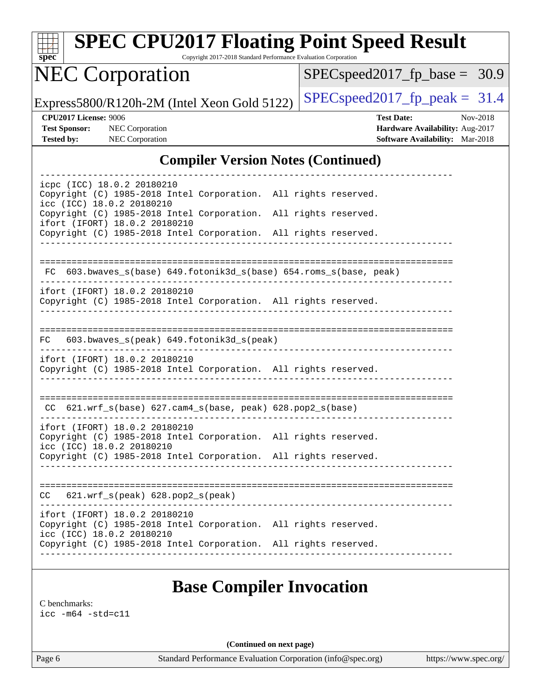| s | Dе | U |  |
|---|----|---|--|

# **[SPEC CPU2017 Floating Point Speed Result](http://www.spec.org/auto/cpu2017/Docs/result-fields.html#SPECCPU2017FloatingPointSpeedResult)**

Copyright 2017-2018 Standard Performance Evaluation Corporation

## NEC Corporation

[SPECspeed2017\\_fp\\_base =](http://www.spec.org/auto/cpu2017/Docs/result-fields.html#SPECspeed2017fpbase) 30.9

Express5800/R120h-2M (Intel Xeon Gold 5122)  $\left|$  [SPECspeed2017\\_fp\\_peak =](http://www.spec.org/auto/cpu2017/Docs/result-fields.html#SPECspeed2017fppeak) 31.4

**[CPU2017 License:](http://www.spec.org/auto/cpu2017/Docs/result-fields.html#CPU2017License)** 9006 **[Test Date:](http://www.spec.org/auto/cpu2017/Docs/result-fields.html#TestDate)** Nov-2018 **[Test Sponsor:](http://www.spec.org/auto/cpu2017/Docs/result-fields.html#TestSponsor)** NEC Corporation **[Hardware Availability:](http://www.spec.org/auto/cpu2017/Docs/result-fields.html#HardwareAvailability)** Aug-2017 **[Tested by:](http://www.spec.org/auto/cpu2017/Docs/result-fields.html#Testedby)** NEC Corporation **[Software Availability:](http://www.spec.org/auto/cpu2017/Docs/result-fields.html#SoftwareAvailability)** Mar-2018

#### **[Compiler Version Notes \(Continued\)](http://www.spec.org/auto/cpu2017/Docs/result-fields.html#CompilerVersionNotes)**

| icpc (ICC) 18.0.2 20180210<br>Copyright (C) 1985-2018 Intel Corporation. All rights reserved.<br>icc (ICC) 18.0.2 20180210    |  |                                                                    |  |  |
|-------------------------------------------------------------------------------------------------------------------------------|--|--------------------------------------------------------------------|--|--|
| Copyright (C) 1985-2018 Intel Corporation. All rights reserved.<br>ifort (IFORT) 18.0.2 20180210                              |  |                                                                    |  |  |
| Copyright (C) 1985-2018 Intel Corporation. All rights reserved.                                                               |  |                                                                    |  |  |
|                                                                                                                               |  |                                                                    |  |  |
|                                                                                                                               |  | FC 603.bwaves_s(base) 649.fotonik3d_s(base) 654.roms_s(base, peak) |  |  |
| ifort (IFORT) 18.0.2 20180210<br>Copyright (C) 1985-2018 Intel Corporation. All rights reserved.                              |  |                                                                    |  |  |
|                                                                                                                               |  |                                                                    |  |  |
| FC                                                                                                                            |  | 603.bwaves_s(peak) 649.fotonik3d_s(peak)                           |  |  |
| ifort (IFORT) 18.0.2 20180210<br>Copyright (C) 1985-2018 Intel Corporation. All rights reserved.                              |  |                                                                    |  |  |
|                                                                                                                               |  |                                                                    |  |  |
|                                                                                                                               |  | CC 621.wrf_s(base) 627.cam4_s(base, peak) 628.pop2_s(base)         |  |  |
| ifort (IFORT) 18.0.2 20180210<br>Copyright (C) 1985-2018 Intel Corporation. All rights reserved.<br>icc (ICC) 18.0.2 20180210 |  |                                                                    |  |  |
| Copyright (C) 1985-2018 Intel Corporation. All rights reserved.                                                               |  |                                                                    |  |  |
|                                                                                                                               |  |                                                                    |  |  |
| $CC$ 621.wrf_s(peak) 628.pop2_s(peak)                                                                                         |  |                                                                    |  |  |
| ifort (IFORT) 18.0.2 20180210<br>Copyright (C) 1985-2018 Intel Corporation. All rights reserved.<br>icc (ICC) 18.0.2 20180210 |  |                                                                    |  |  |
| Copyright (C) 1985-2018 Intel Corporation. All rights reserved.                                                               |  |                                                                    |  |  |
|                                                                                                                               |  |                                                                    |  |  |
|                                                                                                                               |  | <b>Base Compiler Invocation</b>                                    |  |  |

[C benchmarks](http://www.spec.org/auto/cpu2017/Docs/result-fields.html#Cbenchmarks):

[icc -m64 -std=c11](http://www.spec.org/cpu2017/results/res2018q4/cpu2017-20181126-09845.flags.html#user_CCbase_intel_icc_64bit_c11_33ee0cdaae7deeeab2a9725423ba97205ce30f63b9926c2519791662299b76a0318f32ddfffdc46587804de3178b4f9328c46fa7c2b0cd779d7a61945c91cd35)

**(Continued on next page)**

Page 6 Standard Performance Evaluation Corporation [\(info@spec.org\)](mailto:info@spec.org) <https://www.spec.org/>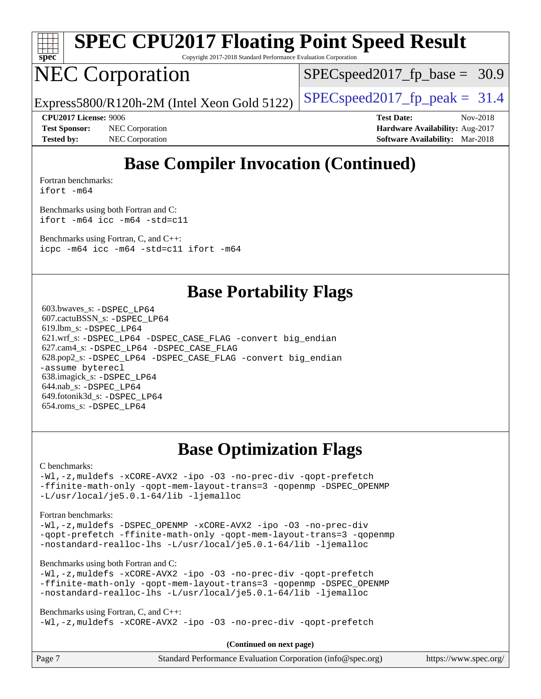

# **[SPEC CPU2017 Floating Point Speed Result](http://www.spec.org/auto/cpu2017/Docs/result-fields.html#SPECCPU2017FloatingPointSpeedResult)**

Copyright 2017-2018 Standard Performance Evaluation Corporation

## NEC Corporation

 $SPECspeed2017_fp\_base = 30.9$ 

Express5800/R120h-2M (Intel Xeon Gold 5122)  $\left|$  [SPECspeed2017\\_fp\\_peak =](http://www.spec.org/auto/cpu2017/Docs/result-fields.html#SPECspeed2017fppeak) 31.4

**[Test Sponsor:](http://www.spec.org/auto/cpu2017/Docs/result-fields.html#TestSponsor)** NEC Corporation **[Hardware Availability:](http://www.spec.org/auto/cpu2017/Docs/result-fields.html#HardwareAvailability)** Aug-2017 **[Tested by:](http://www.spec.org/auto/cpu2017/Docs/result-fields.html#Testedby)** NEC Corporation **[Software Availability:](http://www.spec.org/auto/cpu2017/Docs/result-fields.html#SoftwareAvailability)** Mar-2018

**[CPU2017 License:](http://www.spec.org/auto/cpu2017/Docs/result-fields.html#CPU2017License)** 9006 **[Test Date:](http://www.spec.org/auto/cpu2017/Docs/result-fields.html#TestDate)** Nov-2018

## **[Base Compiler Invocation \(Continued\)](http://www.spec.org/auto/cpu2017/Docs/result-fields.html#BaseCompilerInvocation)**

[Fortran benchmarks](http://www.spec.org/auto/cpu2017/Docs/result-fields.html#Fortranbenchmarks): [ifort -m64](http://www.spec.org/cpu2017/results/res2018q4/cpu2017-20181126-09845.flags.html#user_FCbase_intel_ifort_64bit_24f2bb282fbaeffd6157abe4f878425411749daecae9a33200eee2bee2fe76f3b89351d69a8130dd5949958ce389cf37ff59a95e7a40d588e8d3a57e0c3fd751)

[Benchmarks using both Fortran and C](http://www.spec.org/auto/cpu2017/Docs/result-fields.html#BenchmarksusingbothFortranandC): [ifort -m64](http://www.spec.org/cpu2017/results/res2018q4/cpu2017-20181126-09845.flags.html#user_CC_FCbase_intel_ifort_64bit_24f2bb282fbaeffd6157abe4f878425411749daecae9a33200eee2bee2fe76f3b89351d69a8130dd5949958ce389cf37ff59a95e7a40d588e8d3a57e0c3fd751) [icc -m64 -std=c11](http://www.spec.org/cpu2017/results/res2018q4/cpu2017-20181126-09845.flags.html#user_CC_FCbase_intel_icc_64bit_c11_33ee0cdaae7deeeab2a9725423ba97205ce30f63b9926c2519791662299b76a0318f32ddfffdc46587804de3178b4f9328c46fa7c2b0cd779d7a61945c91cd35)

[Benchmarks using Fortran, C, and C++:](http://www.spec.org/auto/cpu2017/Docs/result-fields.html#BenchmarksusingFortranCandCXX) [icpc -m64](http://www.spec.org/cpu2017/results/res2018q4/cpu2017-20181126-09845.flags.html#user_CC_CXX_FCbase_intel_icpc_64bit_4ecb2543ae3f1412ef961e0650ca070fec7b7afdcd6ed48761b84423119d1bf6bdf5cad15b44d48e7256388bc77273b966e5eb805aefd121eb22e9299b2ec9d9) [icc -m64 -std=c11](http://www.spec.org/cpu2017/results/res2018q4/cpu2017-20181126-09845.flags.html#user_CC_CXX_FCbase_intel_icc_64bit_c11_33ee0cdaae7deeeab2a9725423ba97205ce30f63b9926c2519791662299b76a0318f32ddfffdc46587804de3178b4f9328c46fa7c2b0cd779d7a61945c91cd35) [ifort -m64](http://www.spec.org/cpu2017/results/res2018q4/cpu2017-20181126-09845.flags.html#user_CC_CXX_FCbase_intel_ifort_64bit_24f2bb282fbaeffd6157abe4f878425411749daecae9a33200eee2bee2fe76f3b89351d69a8130dd5949958ce389cf37ff59a95e7a40d588e8d3a57e0c3fd751)

#### **[Base Portability Flags](http://www.spec.org/auto/cpu2017/Docs/result-fields.html#BasePortabilityFlags)**

 603.bwaves\_s: [-DSPEC\\_LP64](http://www.spec.org/cpu2017/results/res2018q4/cpu2017-20181126-09845.flags.html#suite_basePORTABILITY603_bwaves_s_DSPEC_LP64) 607.cactuBSSN\_s: [-DSPEC\\_LP64](http://www.spec.org/cpu2017/results/res2018q4/cpu2017-20181126-09845.flags.html#suite_basePORTABILITY607_cactuBSSN_s_DSPEC_LP64) 619.lbm\_s: [-DSPEC\\_LP64](http://www.spec.org/cpu2017/results/res2018q4/cpu2017-20181126-09845.flags.html#suite_basePORTABILITY619_lbm_s_DSPEC_LP64) 621.wrf\_s: [-DSPEC\\_LP64](http://www.spec.org/cpu2017/results/res2018q4/cpu2017-20181126-09845.flags.html#suite_basePORTABILITY621_wrf_s_DSPEC_LP64) [-DSPEC\\_CASE\\_FLAG](http://www.spec.org/cpu2017/results/res2018q4/cpu2017-20181126-09845.flags.html#b621.wrf_s_baseCPORTABILITY_DSPEC_CASE_FLAG) [-convert big\\_endian](http://www.spec.org/cpu2017/results/res2018q4/cpu2017-20181126-09845.flags.html#user_baseFPORTABILITY621_wrf_s_convert_big_endian_c3194028bc08c63ac5d04de18c48ce6d347e4e562e8892b8bdbdc0214820426deb8554edfa529a3fb25a586e65a3d812c835984020483e7e73212c4d31a38223) 627.cam4\_s: [-DSPEC\\_LP64](http://www.spec.org/cpu2017/results/res2018q4/cpu2017-20181126-09845.flags.html#suite_basePORTABILITY627_cam4_s_DSPEC_LP64) [-DSPEC\\_CASE\\_FLAG](http://www.spec.org/cpu2017/results/res2018q4/cpu2017-20181126-09845.flags.html#b627.cam4_s_baseCPORTABILITY_DSPEC_CASE_FLAG) 628.pop2\_s: [-DSPEC\\_LP64](http://www.spec.org/cpu2017/results/res2018q4/cpu2017-20181126-09845.flags.html#suite_basePORTABILITY628_pop2_s_DSPEC_LP64) [-DSPEC\\_CASE\\_FLAG](http://www.spec.org/cpu2017/results/res2018q4/cpu2017-20181126-09845.flags.html#b628.pop2_s_baseCPORTABILITY_DSPEC_CASE_FLAG) [-convert big\\_endian](http://www.spec.org/cpu2017/results/res2018q4/cpu2017-20181126-09845.flags.html#user_baseFPORTABILITY628_pop2_s_convert_big_endian_c3194028bc08c63ac5d04de18c48ce6d347e4e562e8892b8bdbdc0214820426deb8554edfa529a3fb25a586e65a3d812c835984020483e7e73212c4d31a38223) [-assume byterecl](http://www.spec.org/cpu2017/results/res2018q4/cpu2017-20181126-09845.flags.html#user_baseFPORTABILITY628_pop2_s_assume_byterecl_7e47d18b9513cf18525430bbf0f2177aa9bf368bc7a059c09b2c06a34b53bd3447c950d3f8d6c70e3faf3a05c8557d66a5798b567902e8849adc142926523472) 638.imagick\_s: [-DSPEC\\_LP64](http://www.spec.org/cpu2017/results/res2018q4/cpu2017-20181126-09845.flags.html#suite_basePORTABILITY638_imagick_s_DSPEC_LP64) 644.nab\_s: [-DSPEC\\_LP64](http://www.spec.org/cpu2017/results/res2018q4/cpu2017-20181126-09845.flags.html#suite_basePORTABILITY644_nab_s_DSPEC_LP64) 649.fotonik3d\_s: [-DSPEC\\_LP64](http://www.spec.org/cpu2017/results/res2018q4/cpu2017-20181126-09845.flags.html#suite_basePORTABILITY649_fotonik3d_s_DSPEC_LP64) 654.roms\_s: [-DSPEC\\_LP64](http://www.spec.org/cpu2017/results/res2018q4/cpu2017-20181126-09845.flags.html#suite_basePORTABILITY654_roms_s_DSPEC_LP64)

## **[Base Optimization Flags](http://www.spec.org/auto/cpu2017/Docs/result-fields.html#BaseOptimizationFlags)**

#### [C benchmarks](http://www.spec.org/auto/cpu2017/Docs/result-fields.html#Cbenchmarks):

[-Wl,-z,muldefs](http://www.spec.org/cpu2017/results/res2018q4/cpu2017-20181126-09845.flags.html#user_CCbase_link_force_multiple1_b4cbdb97b34bdee9ceefcfe54f4c8ea74255f0b02a4b23e853cdb0e18eb4525ac79b5a88067c842dd0ee6996c24547a27a4b99331201badda8798ef8a743f577) [-xCORE-AVX2](http://www.spec.org/cpu2017/results/res2018q4/cpu2017-20181126-09845.flags.html#user_CCbase_f-xCORE-AVX2) [-ipo](http://www.spec.org/cpu2017/results/res2018q4/cpu2017-20181126-09845.flags.html#user_CCbase_f-ipo) [-O3](http://www.spec.org/cpu2017/results/res2018q4/cpu2017-20181126-09845.flags.html#user_CCbase_f-O3) [-no-prec-div](http://www.spec.org/cpu2017/results/res2018q4/cpu2017-20181126-09845.flags.html#user_CCbase_f-no-prec-div) [-qopt-prefetch](http://www.spec.org/cpu2017/results/res2018q4/cpu2017-20181126-09845.flags.html#user_CCbase_f-qopt-prefetch) [-ffinite-math-only](http://www.spec.org/cpu2017/results/res2018q4/cpu2017-20181126-09845.flags.html#user_CCbase_f_finite_math_only_cb91587bd2077682c4b38af759c288ed7c732db004271a9512da14a4f8007909a5f1427ecbf1a0fb78ff2a814402c6114ac565ca162485bbcae155b5e4258871) [-qopt-mem-layout-trans=3](http://www.spec.org/cpu2017/results/res2018q4/cpu2017-20181126-09845.flags.html#user_CCbase_f-qopt-mem-layout-trans_de80db37974c74b1f0e20d883f0b675c88c3b01e9d123adea9b28688d64333345fb62bc4a798493513fdb68f60282f9a726aa07f478b2f7113531aecce732043) [-qopenmp](http://www.spec.org/cpu2017/results/res2018q4/cpu2017-20181126-09845.flags.html#user_CCbase_qopenmp_16be0c44f24f464004c6784a7acb94aca937f053568ce72f94b139a11c7c168634a55f6653758ddd83bcf7b8463e8028bb0b48b77bcddc6b78d5d95bb1df2967) [-DSPEC\\_OPENMP](http://www.spec.org/cpu2017/results/res2018q4/cpu2017-20181126-09845.flags.html#suite_CCbase_DSPEC_OPENMP) [-L/usr/local/je5.0.1-64/lib](http://www.spec.org/cpu2017/results/res2018q4/cpu2017-20181126-09845.flags.html#user_CCbase_jemalloc_link_path64_4b10a636b7bce113509b17f3bd0d6226c5fb2346b9178c2d0232c14f04ab830f976640479e5c33dc2bcbbdad86ecfb6634cbbd4418746f06f368b512fced5394) [-ljemalloc](http://www.spec.org/cpu2017/results/res2018q4/cpu2017-20181126-09845.flags.html#user_CCbase_jemalloc_link_lib_d1249b907c500fa1c0672f44f562e3d0f79738ae9e3c4a9c376d49f265a04b9c99b167ecedbf6711b3085be911c67ff61f150a17b3472be731631ba4d0471706)

#### [Fortran benchmarks](http://www.spec.org/auto/cpu2017/Docs/result-fields.html#Fortranbenchmarks):

[-Wl,-z,muldefs](http://www.spec.org/cpu2017/results/res2018q4/cpu2017-20181126-09845.flags.html#user_FCbase_link_force_multiple1_b4cbdb97b34bdee9ceefcfe54f4c8ea74255f0b02a4b23e853cdb0e18eb4525ac79b5a88067c842dd0ee6996c24547a27a4b99331201badda8798ef8a743f577) [-DSPEC\\_OPENMP](http://www.spec.org/cpu2017/results/res2018q4/cpu2017-20181126-09845.flags.html#suite_FCbase_DSPEC_OPENMP) [-xCORE-AVX2](http://www.spec.org/cpu2017/results/res2018q4/cpu2017-20181126-09845.flags.html#user_FCbase_f-xCORE-AVX2) [-ipo](http://www.spec.org/cpu2017/results/res2018q4/cpu2017-20181126-09845.flags.html#user_FCbase_f-ipo) [-O3](http://www.spec.org/cpu2017/results/res2018q4/cpu2017-20181126-09845.flags.html#user_FCbase_f-O3) [-no-prec-div](http://www.spec.org/cpu2017/results/res2018q4/cpu2017-20181126-09845.flags.html#user_FCbase_f-no-prec-div) [-qopt-prefetch](http://www.spec.org/cpu2017/results/res2018q4/cpu2017-20181126-09845.flags.html#user_FCbase_f-qopt-prefetch) [-ffinite-math-only](http://www.spec.org/cpu2017/results/res2018q4/cpu2017-20181126-09845.flags.html#user_FCbase_f_finite_math_only_cb91587bd2077682c4b38af759c288ed7c732db004271a9512da14a4f8007909a5f1427ecbf1a0fb78ff2a814402c6114ac565ca162485bbcae155b5e4258871) [-qopt-mem-layout-trans=3](http://www.spec.org/cpu2017/results/res2018q4/cpu2017-20181126-09845.flags.html#user_FCbase_f-qopt-mem-layout-trans_de80db37974c74b1f0e20d883f0b675c88c3b01e9d123adea9b28688d64333345fb62bc4a798493513fdb68f60282f9a726aa07f478b2f7113531aecce732043) [-qopenmp](http://www.spec.org/cpu2017/results/res2018q4/cpu2017-20181126-09845.flags.html#user_FCbase_qopenmp_16be0c44f24f464004c6784a7acb94aca937f053568ce72f94b139a11c7c168634a55f6653758ddd83bcf7b8463e8028bb0b48b77bcddc6b78d5d95bb1df2967) [-nostandard-realloc-lhs](http://www.spec.org/cpu2017/results/res2018q4/cpu2017-20181126-09845.flags.html#user_FCbase_f_2003_std_realloc_82b4557e90729c0f113870c07e44d33d6f5a304b4f63d4c15d2d0f1fab99f5daaed73bdb9275d9ae411527f28b936061aa8b9c8f2d63842963b95c9dd6426b8a) [-L/usr/local/je5.0.1-64/lib](http://www.spec.org/cpu2017/results/res2018q4/cpu2017-20181126-09845.flags.html#user_FCbase_jemalloc_link_path64_4b10a636b7bce113509b17f3bd0d6226c5fb2346b9178c2d0232c14f04ab830f976640479e5c33dc2bcbbdad86ecfb6634cbbd4418746f06f368b512fced5394) [-ljemalloc](http://www.spec.org/cpu2017/results/res2018q4/cpu2017-20181126-09845.flags.html#user_FCbase_jemalloc_link_lib_d1249b907c500fa1c0672f44f562e3d0f79738ae9e3c4a9c376d49f265a04b9c99b167ecedbf6711b3085be911c67ff61f150a17b3472be731631ba4d0471706)

#### [Benchmarks using both Fortran and C](http://www.spec.org/auto/cpu2017/Docs/result-fields.html#BenchmarksusingbothFortranandC):

[-Wl,-z,muldefs](http://www.spec.org/cpu2017/results/res2018q4/cpu2017-20181126-09845.flags.html#user_CC_FCbase_link_force_multiple1_b4cbdb97b34bdee9ceefcfe54f4c8ea74255f0b02a4b23e853cdb0e18eb4525ac79b5a88067c842dd0ee6996c24547a27a4b99331201badda8798ef8a743f577) [-xCORE-AVX2](http://www.spec.org/cpu2017/results/res2018q4/cpu2017-20181126-09845.flags.html#user_CC_FCbase_f-xCORE-AVX2) [-ipo](http://www.spec.org/cpu2017/results/res2018q4/cpu2017-20181126-09845.flags.html#user_CC_FCbase_f-ipo) [-O3](http://www.spec.org/cpu2017/results/res2018q4/cpu2017-20181126-09845.flags.html#user_CC_FCbase_f-O3) [-no-prec-div](http://www.spec.org/cpu2017/results/res2018q4/cpu2017-20181126-09845.flags.html#user_CC_FCbase_f-no-prec-div) [-qopt-prefetch](http://www.spec.org/cpu2017/results/res2018q4/cpu2017-20181126-09845.flags.html#user_CC_FCbase_f-qopt-prefetch) [-ffinite-math-only](http://www.spec.org/cpu2017/results/res2018q4/cpu2017-20181126-09845.flags.html#user_CC_FCbase_f_finite_math_only_cb91587bd2077682c4b38af759c288ed7c732db004271a9512da14a4f8007909a5f1427ecbf1a0fb78ff2a814402c6114ac565ca162485bbcae155b5e4258871) [-qopt-mem-layout-trans=3](http://www.spec.org/cpu2017/results/res2018q4/cpu2017-20181126-09845.flags.html#user_CC_FCbase_f-qopt-mem-layout-trans_de80db37974c74b1f0e20d883f0b675c88c3b01e9d123adea9b28688d64333345fb62bc4a798493513fdb68f60282f9a726aa07f478b2f7113531aecce732043) [-qopenmp](http://www.spec.org/cpu2017/results/res2018q4/cpu2017-20181126-09845.flags.html#user_CC_FCbase_qopenmp_16be0c44f24f464004c6784a7acb94aca937f053568ce72f94b139a11c7c168634a55f6653758ddd83bcf7b8463e8028bb0b48b77bcddc6b78d5d95bb1df2967) [-DSPEC\\_OPENMP](http://www.spec.org/cpu2017/results/res2018q4/cpu2017-20181126-09845.flags.html#suite_CC_FCbase_DSPEC_OPENMP) [-nostandard-realloc-lhs](http://www.spec.org/cpu2017/results/res2018q4/cpu2017-20181126-09845.flags.html#user_CC_FCbase_f_2003_std_realloc_82b4557e90729c0f113870c07e44d33d6f5a304b4f63d4c15d2d0f1fab99f5daaed73bdb9275d9ae411527f28b936061aa8b9c8f2d63842963b95c9dd6426b8a) [-L/usr/local/je5.0.1-64/lib](http://www.spec.org/cpu2017/results/res2018q4/cpu2017-20181126-09845.flags.html#user_CC_FCbase_jemalloc_link_path64_4b10a636b7bce113509b17f3bd0d6226c5fb2346b9178c2d0232c14f04ab830f976640479e5c33dc2bcbbdad86ecfb6634cbbd4418746f06f368b512fced5394) [-ljemalloc](http://www.spec.org/cpu2017/results/res2018q4/cpu2017-20181126-09845.flags.html#user_CC_FCbase_jemalloc_link_lib_d1249b907c500fa1c0672f44f562e3d0f79738ae9e3c4a9c376d49f265a04b9c99b167ecedbf6711b3085be911c67ff61f150a17b3472be731631ba4d0471706)

[Benchmarks using Fortran, C, and C++:](http://www.spec.org/auto/cpu2017/Docs/result-fields.html#BenchmarksusingFortranCandCXX) [-Wl,-z,muldefs](http://www.spec.org/cpu2017/results/res2018q4/cpu2017-20181126-09845.flags.html#user_CC_CXX_FCbase_link_force_multiple1_b4cbdb97b34bdee9ceefcfe54f4c8ea74255f0b02a4b23e853cdb0e18eb4525ac79b5a88067c842dd0ee6996c24547a27a4b99331201badda8798ef8a743f577) [-xCORE-AVX2](http://www.spec.org/cpu2017/results/res2018q4/cpu2017-20181126-09845.flags.html#user_CC_CXX_FCbase_f-xCORE-AVX2) [-ipo](http://www.spec.org/cpu2017/results/res2018q4/cpu2017-20181126-09845.flags.html#user_CC_CXX_FCbase_f-ipo) [-O3](http://www.spec.org/cpu2017/results/res2018q4/cpu2017-20181126-09845.flags.html#user_CC_CXX_FCbase_f-O3) [-no-prec-div](http://www.spec.org/cpu2017/results/res2018q4/cpu2017-20181126-09845.flags.html#user_CC_CXX_FCbase_f-no-prec-div) [-qopt-prefetch](http://www.spec.org/cpu2017/results/res2018q4/cpu2017-20181126-09845.flags.html#user_CC_CXX_FCbase_f-qopt-prefetch)

**(Continued on next page)**

| Page 7<br>Standard Performance Evaluation Corporation (info@spec.org)<br>https://www.spec.org/ |
|------------------------------------------------------------------------------------------------|
|------------------------------------------------------------------------------------------------|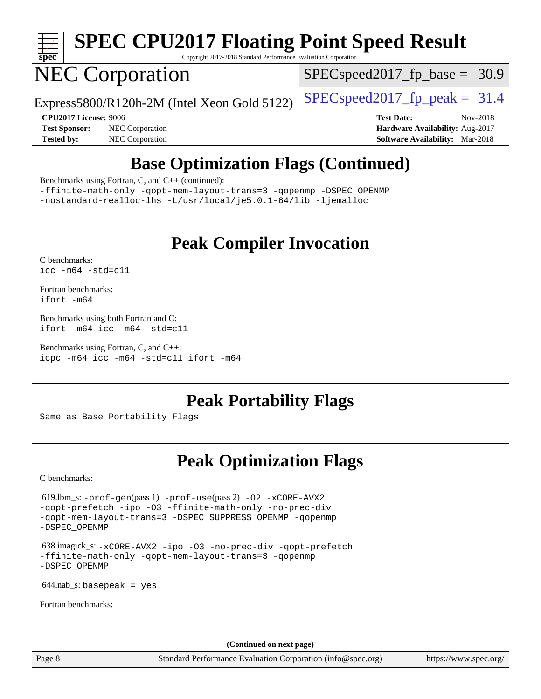

# **[SPEC CPU2017 Floating Point Speed Result](http://www.spec.org/auto/cpu2017/Docs/result-fields.html#SPECCPU2017FloatingPointSpeedResult)**

Copyright 2017-2018 Standard Performance Evaluation Corporation

## NEC Corporation

 $SPECspeed2017<sub>fp</sub> base = 30.9$ 

Express5800/R120h-2M (Intel Xeon Gold 5122) [SPECspeed2017\\_fp\\_peak =](http://www.spec.org/auto/cpu2017/Docs/result-fields.html#SPECspeed2017fppeak)  $31.4$ 

**[Test Sponsor:](http://www.spec.org/auto/cpu2017/Docs/result-fields.html#TestSponsor)** NEC Corporation **[Hardware Availability:](http://www.spec.org/auto/cpu2017/Docs/result-fields.html#HardwareAvailability)** Aug-2017 **[Tested by:](http://www.spec.org/auto/cpu2017/Docs/result-fields.html#Testedby)** NEC Corporation **[Software Availability:](http://www.spec.org/auto/cpu2017/Docs/result-fields.html#SoftwareAvailability)** Mar-2018

**[CPU2017 License:](http://www.spec.org/auto/cpu2017/Docs/result-fields.html#CPU2017License)** 9006 **[Test Date:](http://www.spec.org/auto/cpu2017/Docs/result-fields.html#TestDate)** Nov-2018

## **[Base Optimization Flags \(Continued\)](http://www.spec.org/auto/cpu2017/Docs/result-fields.html#BaseOptimizationFlags)**

[Benchmarks using Fortran, C, and C++](http://www.spec.org/auto/cpu2017/Docs/result-fields.html#BenchmarksusingFortranCandCXX) (continued):

[-ffinite-math-only](http://www.spec.org/cpu2017/results/res2018q4/cpu2017-20181126-09845.flags.html#user_CC_CXX_FCbase_f_finite_math_only_cb91587bd2077682c4b38af759c288ed7c732db004271a9512da14a4f8007909a5f1427ecbf1a0fb78ff2a814402c6114ac565ca162485bbcae155b5e4258871) [-qopt-mem-layout-trans=3](http://www.spec.org/cpu2017/results/res2018q4/cpu2017-20181126-09845.flags.html#user_CC_CXX_FCbase_f-qopt-mem-layout-trans_de80db37974c74b1f0e20d883f0b675c88c3b01e9d123adea9b28688d64333345fb62bc4a798493513fdb68f60282f9a726aa07f478b2f7113531aecce732043) [-qopenmp](http://www.spec.org/cpu2017/results/res2018q4/cpu2017-20181126-09845.flags.html#user_CC_CXX_FCbase_qopenmp_16be0c44f24f464004c6784a7acb94aca937f053568ce72f94b139a11c7c168634a55f6653758ddd83bcf7b8463e8028bb0b48b77bcddc6b78d5d95bb1df2967) [-DSPEC\\_OPENMP](http://www.spec.org/cpu2017/results/res2018q4/cpu2017-20181126-09845.flags.html#suite_CC_CXX_FCbase_DSPEC_OPENMP) [-nostandard-realloc-lhs](http://www.spec.org/cpu2017/results/res2018q4/cpu2017-20181126-09845.flags.html#user_CC_CXX_FCbase_f_2003_std_realloc_82b4557e90729c0f113870c07e44d33d6f5a304b4f63d4c15d2d0f1fab99f5daaed73bdb9275d9ae411527f28b936061aa8b9c8f2d63842963b95c9dd6426b8a) [-L/usr/local/je5.0.1-64/lib](http://www.spec.org/cpu2017/results/res2018q4/cpu2017-20181126-09845.flags.html#user_CC_CXX_FCbase_jemalloc_link_path64_4b10a636b7bce113509b17f3bd0d6226c5fb2346b9178c2d0232c14f04ab830f976640479e5c33dc2bcbbdad86ecfb6634cbbd4418746f06f368b512fced5394) [-ljemalloc](http://www.spec.org/cpu2017/results/res2018q4/cpu2017-20181126-09845.flags.html#user_CC_CXX_FCbase_jemalloc_link_lib_d1249b907c500fa1c0672f44f562e3d0f79738ae9e3c4a9c376d49f265a04b9c99b167ecedbf6711b3085be911c67ff61f150a17b3472be731631ba4d0471706)

### **[Peak Compiler Invocation](http://www.spec.org/auto/cpu2017/Docs/result-fields.html#PeakCompilerInvocation)**

[C benchmarks](http://www.spec.org/auto/cpu2017/Docs/result-fields.html#Cbenchmarks): [icc -m64 -std=c11](http://www.spec.org/cpu2017/results/res2018q4/cpu2017-20181126-09845.flags.html#user_CCpeak_intel_icc_64bit_c11_33ee0cdaae7deeeab2a9725423ba97205ce30f63b9926c2519791662299b76a0318f32ddfffdc46587804de3178b4f9328c46fa7c2b0cd779d7a61945c91cd35)

[Fortran benchmarks](http://www.spec.org/auto/cpu2017/Docs/result-fields.html#Fortranbenchmarks): [ifort -m64](http://www.spec.org/cpu2017/results/res2018q4/cpu2017-20181126-09845.flags.html#user_FCpeak_intel_ifort_64bit_24f2bb282fbaeffd6157abe4f878425411749daecae9a33200eee2bee2fe76f3b89351d69a8130dd5949958ce389cf37ff59a95e7a40d588e8d3a57e0c3fd751)

[Benchmarks using both Fortran and C](http://www.spec.org/auto/cpu2017/Docs/result-fields.html#BenchmarksusingbothFortranandC): [ifort -m64](http://www.spec.org/cpu2017/results/res2018q4/cpu2017-20181126-09845.flags.html#user_CC_FCpeak_intel_ifort_64bit_24f2bb282fbaeffd6157abe4f878425411749daecae9a33200eee2bee2fe76f3b89351d69a8130dd5949958ce389cf37ff59a95e7a40d588e8d3a57e0c3fd751) [icc -m64 -std=c11](http://www.spec.org/cpu2017/results/res2018q4/cpu2017-20181126-09845.flags.html#user_CC_FCpeak_intel_icc_64bit_c11_33ee0cdaae7deeeab2a9725423ba97205ce30f63b9926c2519791662299b76a0318f32ddfffdc46587804de3178b4f9328c46fa7c2b0cd779d7a61945c91cd35)

[Benchmarks using Fortran, C, and C++:](http://www.spec.org/auto/cpu2017/Docs/result-fields.html#BenchmarksusingFortranCandCXX) [icpc -m64](http://www.spec.org/cpu2017/results/res2018q4/cpu2017-20181126-09845.flags.html#user_CC_CXX_FCpeak_intel_icpc_64bit_4ecb2543ae3f1412ef961e0650ca070fec7b7afdcd6ed48761b84423119d1bf6bdf5cad15b44d48e7256388bc77273b966e5eb805aefd121eb22e9299b2ec9d9) [icc -m64 -std=c11](http://www.spec.org/cpu2017/results/res2018q4/cpu2017-20181126-09845.flags.html#user_CC_CXX_FCpeak_intel_icc_64bit_c11_33ee0cdaae7deeeab2a9725423ba97205ce30f63b9926c2519791662299b76a0318f32ddfffdc46587804de3178b4f9328c46fa7c2b0cd779d7a61945c91cd35) [ifort -m64](http://www.spec.org/cpu2017/results/res2018q4/cpu2017-20181126-09845.flags.html#user_CC_CXX_FCpeak_intel_ifort_64bit_24f2bb282fbaeffd6157abe4f878425411749daecae9a33200eee2bee2fe76f3b89351d69a8130dd5949958ce389cf37ff59a95e7a40d588e8d3a57e0c3fd751)

**[Peak Portability Flags](http://www.spec.org/auto/cpu2017/Docs/result-fields.html#PeakPortabilityFlags)**

Same as Base Portability Flags

### **[Peak Optimization Flags](http://www.spec.org/auto/cpu2017/Docs/result-fields.html#PeakOptimizationFlags)**

[C benchmarks](http://www.spec.org/auto/cpu2017/Docs/result-fields.html#Cbenchmarks):

 619.lbm\_s: [-prof-gen](http://www.spec.org/cpu2017/results/res2018q4/cpu2017-20181126-09845.flags.html#user_peakPASS1_CFLAGSPASS1_LDFLAGS619_lbm_s_prof_gen_5aa4926d6013ddb2a31985c654b3eb18169fc0c6952a63635c234f711e6e63dd76e94ad52365559451ec499a2cdb89e4dc58ba4c67ef54ca681ffbe1461d6b36)(pass 1) [-prof-use](http://www.spec.org/cpu2017/results/res2018q4/cpu2017-20181126-09845.flags.html#user_peakPASS2_CFLAGSPASS2_LDFLAGS619_lbm_s_prof_use_1a21ceae95f36a2b53c25747139a6c16ca95bd9def2a207b4f0849963b97e94f5260e30a0c64f4bb623698870e679ca08317ef8150905d41bd88c6f78df73f19)(pass 2) [-O2](http://www.spec.org/cpu2017/results/res2018q4/cpu2017-20181126-09845.flags.html#user_peakPASS1_COPTIMIZE619_lbm_s_f-O2) [-xCORE-AVX2](http://www.spec.org/cpu2017/results/res2018q4/cpu2017-20181126-09845.flags.html#user_peakPASS2_COPTIMIZE619_lbm_s_f-xCORE-AVX2) [-qopt-prefetch](http://www.spec.org/cpu2017/results/res2018q4/cpu2017-20181126-09845.flags.html#user_peakPASS1_COPTIMIZEPASS2_COPTIMIZE619_lbm_s_f-qopt-prefetch) [-ipo](http://www.spec.org/cpu2017/results/res2018q4/cpu2017-20181126-09845.flags.html#user_peakPASS2_COPTIMIZE619_lbm_s_f-ipo) [-O3](http://www.spec.org/cpu2017/results/res2018q4/cpu2017-20181126-09845.flags.html#user_peakPASS2_COPTIMIZE619_lbm_s_f-O3) [-ffinite-math-only](http://www.spec.org/cpu2017/results/res2018q4/cpu2017-20181126-09845.flags.html#user_peakPASS1_COPTIMIZEPASS2_COPTIMIZE619_lbm_s_f_finite_math_only_cb91587bd2077682c4b38af759c288ed7c732db004271a9512da14a4f8007909a5f1427ecbf1a0fb78ff2a814402c6114ac565ca162485bbcae155b5e4258871) [-no-prec-div](http://www.spec.org/cpu2017/results/res2018q4/cpu2017-20181126-09845.flags.html#user_peakPASS2_COPTIMIZE619_lbm_s_f-no-prec-div) [-qopt-mem-layout-trans=3](http://www.spec.org/cpu2017/results/res2018q4/cpu2017-20181126-09845.flags.html#user_peakPASS1_COPTIMIZEPASS2_COPTIMIZE619_lbm_s_f-qopt-mem-layout-trans_de80db37974c74b1f0e20d883f0b675c88c3b01e9d123adea9b28688d64333345fb62bc4a798493513fdb68f60282f9a726aa07f478b2f7113531aecce732043) [-DSPEC\\_SUPPRESS\\_OPENMP](http://www.spec.org/cpu2017/results/res2018q4/cpu2017-20181126-09845.flags.html#suite_peakPASS1_COPTIMIZE619_lbm_s_DSPEC_SUPPRESS_OPENMP) [-qopenmp](http://www.spec.org/cpu2017/results/res2018q4/cpu2017-20181126-09845.flags.html#user_peakPASS2_COPTIMIZE619_lbm_s_qopenmp_16be0c44f24f464004c6784a7acb94aca937f053568ce72f94b139a11c7c168634a55f6653758ddd83bcf7b8463e8028bb0b48b77bcddc6b78d5d95bb1df2967) [-DSPEC\\_OPENMP](http://www.spec.org/cpu2017/results/res2018q4/cpu2017-20181126-09845.flags.html#suite_peakPASS2_COPTIMIZE619_lbm_s_DSPEC_OPENMP)

 638.imagick\_s: [-xCORE-AVX2](http://www.spec.org/cpu2017/results/res2018q4/cpu2017-20181126-09845.flags.html#user_peakCOPTIMIZE638_imagick_s_f-xCORE-AVX2) [-ipo](http://www.spec.org/cpu2017/results/res2018q4/cpu2017-20181126-09845.flags.html#user_peakCOPTIMIZE638_imagick_s_f-ipo) [-O3](http://www.spec.org/cpu2017/results/res2018q4/cpu2017-20181126-09845.flags.html#user_peakCOPTIMIZE638_imagick_s_f-O3) [-no-prec-div](http://www.spec.org/cpu2017/results/res2018q4/cpu2017-20181126-09845.flags.html#user_peakCOPTIMIZE638_imagick_s_f-no-prec-div) [-qopt-prefetch](http://www.spec.org/cpu2017/results/res2018q4/cpu2017-20181126-09845.flags.html#user_peakCOPTIMIZE638_imagick_s_f-qopt-prefetch) [-ffinite-math-only](http://www.spec.org/cpu2017/results/res2018q4/cpu2017-20181126-09845.flags.html#user_peakCOPTIMIZE638_imagick_s_f_finite_math_only_cb91587bd2077682c4b38af759c288ed7c732db004271a9512da14a4f8007909a5f1427ecbf1a0fb78ff2a814402c6114ac565ca162485bbcae155b5e4258871) [-qopt-mem-layout-trans=3](http://www.spec.org/cpu2017/results/res2018q4/cpu2017-20181126-09845.flags.html#user_peakCOPTIMIZE638_imagick_s_f-qopt-mem-layout-trans_de80db37974c74b1f0e20d883f0b675c88c3b01e9d123adea9b28688d64333345fb62bc4a798493513fdb68f60282f9a726aa07f478b2f7113531aecce732043) [-qopenmp](http://www.spec.org/cpu2017/results/res2018q4/cpu2017-20181126-09845.flags.html#user_peakCOPTIMIZE638_imagick_s_qopenmp_16be0c44f24f464004c6784a7acb94aca937f053568ce72f94b139a11c7c168634a55f6653758ddd83bcf7b8463e8028bb0b48b77bcddc6b78d5d95bb1df2967) [-DSPEC\\_OPENMP](http://www.spec.org/cpu2017/results/res2018q4/cpu2017-20181126-09845.flags.html#suite_peakCOPTIMIZE638_imagick_s_DSPEC_OPENMP)

 $644$ .nab\_s: basepeak = yes

[Fortran benchmarks](http://www.spec.org/auto/cpu2017/Docs/result-fields.html#Fortranbenchmarks):

**(Continued on next page)**

Page 8 Standard Performance Evaluation Corporation [\(info@spec.org\)](mailto:info@spec.org) <https://www.spec.org/>